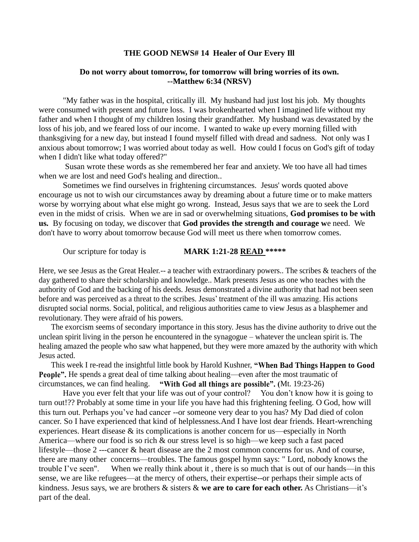## **THE GOOD NEWS# 14 Healer of Our Every Ill**

## **Do not worry about tomorrow, for tomorrow will bring worries of its own. --Matthew 6:34 (NRSV)**

"My father was in the hospital, critically ill. My husband had just lost his job. My thoughts were consumed with present and future loss. I was brokenhearted when I imagined life without my father and when I thought of my children losing their grandfather. My husband was devastated by the loss of his job, and we feared loss of our income. I wanted to wake up every morning filled with thanksgiving for a new day, but instead I found myself filled with dread and sadness. Not only was I anxious about tomorrow; I was worried about today as well. How could I focus on God's gift of today when I didn't like what today offered?"

Susan wrote these words as she remembered her fear and anxiety. We too have all had times when we are lost and need God's healing and direction..

Sometimes we find ourselves in frightening circumstances. Jesus' words quoted above encourage us not to wish our circumstances away by dreaming about a future time or to make matters worse by worrying about what else might go wrong. Instead, Jesus says that we are to seek the Lord even in the midst of crisis. When we are in sad or overwhelming situations, **God promises to be with us.** By focusing on today, we discover that **God provides the strength and courage w**e need. We don't have to worry about tomorrow because God will meet us there when tomorrow comes.

## Our scripture for today is **MARK 1:21-28 READ** \*\*\*\*\*

Here, we see Jesus as the Great Healer.-- a teacher with extraordinary powers.. The scribes & teachers of the day gathered to share their scholarship and knowledge.. Mark presents Jesus as one who teaches with the authority of God and the backing of his deeds. Jesus demonstrated a divine authority that had not been seen before and was perceived as a threat to the scribes. Jesus' treatment of the ill was amazing. His actions disrupted social norms. Social, political, and religious authorities came to view Jesus as a blasphemer and revolutionary. They were afraid of his powers.

The exorcism seems of secondary importance in this story. Jesus has the divine authority to drive out the unclean spirit living in the person he encountered in the synagogue – whatever the unclean spirit is. The healing amazed the people who saw what happened, but they were more amazed by the authority with which Jesus acted.

This week I re-read the insightful little book by Harold Kushner, **"When Bad Things Happen to Good People".** He spends a great deal of time talking about healing—even after the most traumatic of circumstances, we can find healing. **"With God all things are possible". (**Mt. 19:23-26)

Have you ever felt that your life was out of your control? You don't know how it is going to turn out!?? Probably at some time in your life you have had this frightening feeling. O God, how will this turn out. Perhaps you've had cancer --or someone very dear to you has? My Dad died of colon cancer. So I have experienced that kind of helplessness.And I have lost dear friends. Heart-wrenching experiences. Heart disease & its complications is another concern for us—especially in North America—where our food is so rich & our stress level is so high—we keep such a fast paced lifestyle—those 2 ---cancer & heart disease are the 2 most common concerns for us. And of course, there are many other concerns—troubles. The famous gospel hymn says: " Lord, nobody knows the trouble I've seen". When we really think about it , there is so much that is out of our hands—in this sense, we are like refugees—at the mercy of others, their expertise--or perhaps their simple acts of kindness. Jesus says, we are brothers & sisters & **we are to care for each other.** As Christians—it's part of the deal.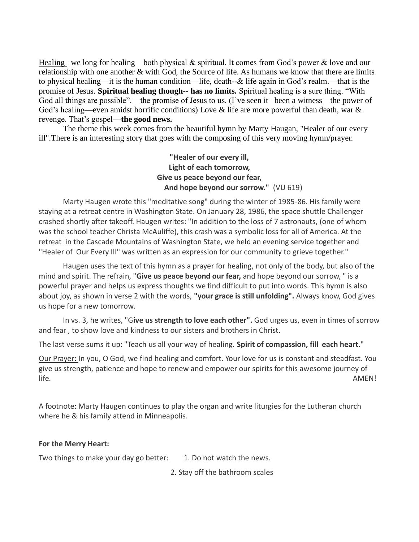Healing –we long for healing—both physical  $\&$  spiritual. It comes from God's power  $\&$  love and our relationship with one another & with God, the Source of life. As humans we know that there are limits to physical healing—it is the human condition—life, death--& life again in God's realm.—that is the promise of Jesus. **Spiritual healing though-- has no limits.** Spiritual healing is a sure thing. "With God all things are possible".—the promise of Jesus to us. (I've seen it –been a witness—the power of God's healing—even amidst horrific conditions) Love & life are more powerful than death, war & revenge. That's gospel—**the good news.**

The theme this week comes from the beautiful hymn by Marty Haugan, "Healer of our every ill".There is an interesting story that goes with the composing of this very moving hymn/prayer.

> **"Healer of our every ill, Light of each tomorrow, Give us peace beyond our fear, And hope beyond our sorrow."** (VU 619)

Marty Haugen wrote this "meditative song" during the winter of 1985-86. His family were staying at a retreat centre in Washington State. On January 28, 1986, the space shuttle Challenger crashed shortly after takeoff. Haugen writes: "In addition to the loss of 7 astronauts, (one of whom was the school teacher Christa McAuliffe), this crash was a symbolic loss for all of America. At the retreat in the Cascade Mountains of Washington State, we held an evening service together and "Healer of Our Every Ill" was written as an expression for our community to grieve together."

Haugen uses the text of this hymn as a prayer for healing, not only of the body, but also of the mind and spirit. The refrain, "**Give us peace beyond our fear,** and hope beyond our sorrow, " is a powerful prayer and helps us express thoughts we find difficult to put into words. This hymn is also about joy, as shown in verse 2 with the words, **"your grace is still unfolding".** Always know, God gives us hope for a new tomorrow.

In vs. 3, he writes, "G**ive us strength to love each other".** God urges us, even in times of sorrow and fear , to show love and kindness to our sisters and brothers in Christ.

The last verse sums it up: "Teach us all your way of healing. **Spirit of compassion, fill each heart**."

Our Prayer: In you, O God, we find healing and comfort. Your love for us is constant and steadfast. You give us strength, patience and hope to renew and empower our spirits for this awesome journey of life. AMEN!

A footnote: Marty Haugen continues to play the organ and write liturgies for the Lutheran church where he & his family attend in Minneapolis.

## **For the Merry Heart:**

Two things to make your day go better: 1. Do not watch the news.

2. Stay off the bathroom scales